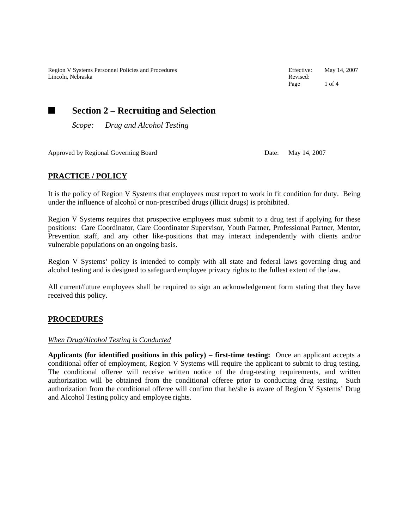Region V Systems Personnel Policies and Procedures **Effective:** May 14, 2007<br>
Lincoln, Nebraska Revised: Revised: Lincoln, Nebraska

Page 1 of 4

# ■ Section 2 – Recruiting and Selection

*Scope: Drug and Alcohol Testing*

Approved by Regional Governing Board Date: May 14, 2007

# **PRACTICE / POLICY**

It is the policy of Region V Systems that employees must report to work in fit condition for duty. Being under the influence of alcohol or non-prescribed drugs (illicit drugs) is prohibited.

Region V Systems requires that prospective employees must submit to a drug test if applying for these positions: Care Coordinator, Care Coordinator Supervisor, Youth Partner, Professional Partner, Mentor, Prevention staff, and any other like-positions that may interact independently with clients and/or vulnerable populations on an ongoing basis.

Region V Systems' policy is intended to comply with all state and federal laws governing drug and alcohol testing and is designed to safeguard employee privacy rights to the fullest extent of the law.

All current/future employees shall be required to sign an acknowledgement form stating that they have received this policy.

# **PROCEDURES**

### *When Drug/Alcohol Testing is Conducted*

**Applicants (for identified positions in this policy) – first-time testing:** Once an applicant accepts a conditional offer of employment, Region V Systems will require the applicant to submit to drug testing. The conditional offeree will receive written notice of the drug-testing requirements, and written authorization will be obtained from the conditional offeree prior to conducting drug testing. Such authorization from the conditional offeree will confirm that he/she is aware of Region V Systems' Drug and Alcohol Testing policy and employee rights.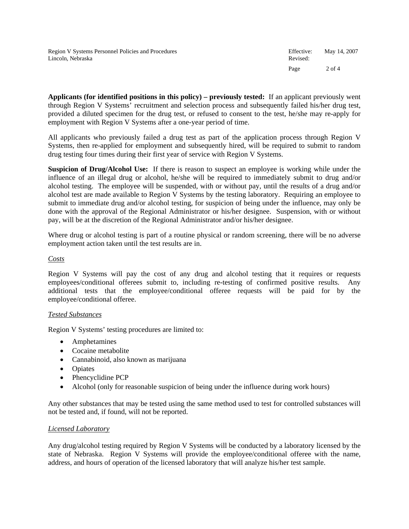**Applicants (for identified positions in this policy) – previously tested:** If an applicant previously went through Region V Systems' recruitment and selection process and subsequently failed his/her drug test, provided a diluted specimen for the drug test, or refused to consent to the test, he/she may re-apply for employment with Region V Systems after a one-year period of time.

All applicants who previously failed a drug test as part of the application process through Region V Systems, then re-applied for employment and subsequently hired, will be required to submit to random drug testing four times during their first year of service with Region V Systems.

**Suspicion of Drug/Alcohol Use:** If there is reason to suspect an employee is working while under the influence of an illegal drug or alcohol, he/she will be required to immediately submit to drug and/or alcohol testing. The employee will be suspended, with or without pay, until the results of a drug and/or alcohol test are made available to Region V Systems by the testing laboratory. Requiring an employee to submit to immediate drug and/or alcohol testing, for suspicion of being under the influence, may only be done with the approval of the Regional Administrator or his/her designee. Suspension, with or without pay, will be at the discretion of the Regional Administrator and/or his/her designee.

Where drug or alcohol testing is part of a routine physical or random screening, there will be no adverse employment action taken until the test results are in.

## *Costs*

Region V Systems will pay the cost of any drug and alcohol testing that it requires or requests employees/conditional offerees submit to, including re-testing of confirmed positive results. Any additional tests that the employee/conditional offeree requests will be paid for by the employee/conditional offeree.

### *Tested Substances*

Region V Systems' testing procedures are limited to:

- Amphetamines
- Cocaine metabolite
- Cannabinoid, also known as marijuana
- Opiates
- Phencyclidine PCP
- Alcohol (only for reasonable suspicion of being under the influence during work hours)

Any other substances that may be tested using the same method used to test for controlled substances will not be tested and, if found, will not be reported.

### *Licensed Laboratory*

Any drug/alcohol testing required by Region V Systems will be conducted by a laboratory licensed by the state of Nebraska. Region V Systems will provide the employee/conditional offeree with the name, address, and hours of operation of the licensed laboratory that will analyze his/her test sample.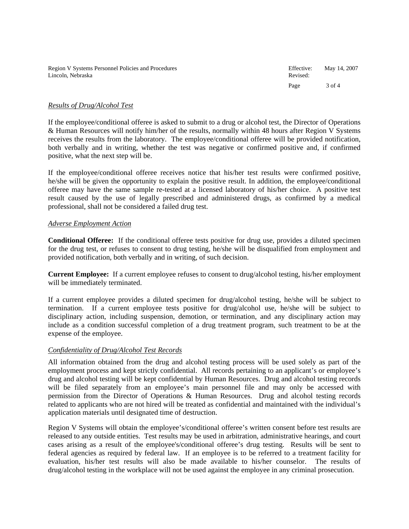| Region V Systems Personnel Policies and Procedures | Effective: | May 14, 2007 |
|----------------------------------------------------|------------|--------------|
| Lincoln. Nebraska                                  | Revised:   |              |
|                                                    | Page       | 3 of $4$     |

#### *Results of Drug/Alcohol Test*

If the employee/conditional offeree is asked to submit to a drug or alcohol test, the Director of Operations & Human Resources will notify him/her of the results, normally within 48 hours after Region V Systems receives the results from the laboratory. The employee/conditional offeree will be provided notification, both verbally and in writing, whether the test was negative or confirmed positive and, if confirmed positive, what the next step will be.

If the employee/conditional offeree receives notice that his/her test results were confirmed positive, he/she will be given the opportunity to explain the positive result. In addition, the employee/conditional offeree may have the same sample re-tested at a licensed laboratory of his/her choice. A positive test result caused by the use of legally prescribed and administered drugs, as confirmed by a medical professional, shall not be considered a failed drug test.

#### *Adverse Employment Action*

**Conditional Offeree:** If the conditional offeree tests positive for drug use, provides a diluted specimen for the drug test, or refuses to consent to drug testing, he/she will be disqualified from employment and provided notification, both verbally and in writing, of such decision.

**Current Employee:** If a current employee refuses to consent to drug/alcohol testing, his/her employment will be immediately terminated.

If a current employee provides a diluted specimen for drug/alcohol testing, he/she will be subject to termination. If a current employee tests positive for drug/alcohol use, he/she will be subject to disciplinary action, including suspension, demotion, or termination, and any disciplinary action may include as a condition successful completion of a drug treatment program, such treatment to be at the expense of the employee.

### *Confidentiality of Drug/Alcohol Test Records*

All information obtained from the drug and alcohol testing process will be used solely as part of the employment process and kept strictly confidential. All records pertaining to an applicant's or employee's drug and alcohol testing will be kept confidential by Human Resources. Drug and alcohol testing records will be filed separately from an employee's main personnel file and may only be accessed with permission from the Director of Operations & Human Resources. Drug and alcohol testing records related to applicants who are not hired will be treated as confidential and maintained with the individual's application materials until designated time of destruction.

Region V Systems will obtain the employee's/conditional offeree's written consent before test results are released to any outside entities. Test results may be used in arbitration, administrative hearings, and court cases arising as a result of the employee's/conditional offeree's drug testing. Results will be sent to federal agencies as required by federal law. If an employee is to be referred to a treatment facility for evaluation, his/her test results will also be made available to his/her counselor. The results of drug/alcohol testing in the workplace will not be used against the employee in any criminal prosecution.